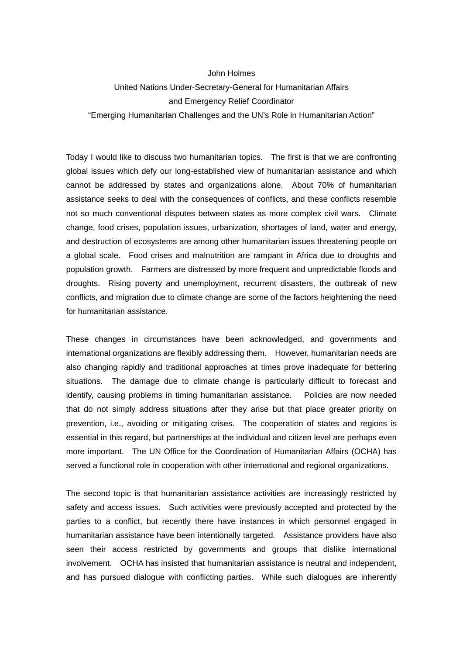## John Holmes

## United Nations Under-Secretary-General for Humanitarian Affairs and Emergency Relief Coordinator "Emerging Humanitarian Challenges and the UN's Role in Humanitarian Action"

Today I would like to discuss two humanitarian topics. The first is that we are confronting global issues which defy our long-established view of humanitarian assistance and which cannot be addressed by states and organizations alone. About 70% of humanitarian assistance seeks to deal with the consequences of conflicts, and these conflicts resemble not so much conventional disputes between states as more complex civil wars. Climate change, food crises, population issues, urbanization, shortages of land, water and energy, and destruction of ecosystems are among other humanitarian issues threatening people on a global scale. Food crises and malnutrition are rampant in Africa due to droughts and population growth. Farmers are distressed by more frequent and unpredictable floods and droughts. Rising poverty and unemployment, recurrent disasters, the outbreak of new conflicts, and migration due to climate change are some of the factors heightening the need for humanitarian assistance.

These changes in circumstances have been acknowledged, and governments and international organizations are flexibly addressing them. However, humanitarian needs are also changing rapidly and traditional approaches at times prove inadequate for bettering situations. The damage due to climate change is particularly difficult to forecast and identify, causing problems in timing humanitarian assistance. Policies are now needed that do not simply address situations after they arise but that place greater priority on prevention, i.e., avoiding or mitigating crises. The cooperation of states and regions is essential in this regard, but partnerships at the individual and citizen level are perhaps even more important. The UN Office for the Coordination of Humanitarian Affairs (OCHA) has served a functional role in cooperation with other international and regional organizations.

The second topic is that humanitarian assistance activities are increasingly restricted by safety and access issues. Such activities were previously accepted and protected by the parties to a conflict, but recently there have instances in which personnel engaged in humanitarian assistance have been intentionally targeted. Assistance providers have also seen their access restricted by governments and groups that dislike international involvement. OCHA has insisted that humanitarian assistance is neutral and independent, and has pursued dialogue with conflicting parties. While such dialogues are inherently